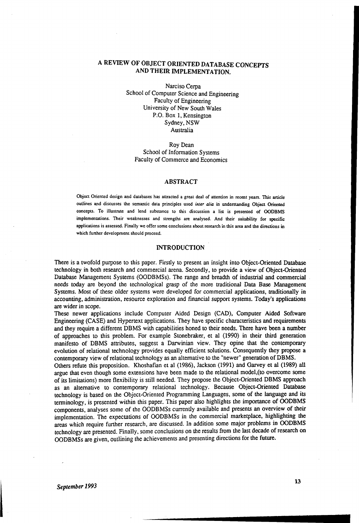# A REVIEW OF OBJECT ORIENTED DATABASE CONCEPTS AND THEIR IMPLEMENTATION.

Narciso Cerpa School of Computer Science and Engineering Faculty of Engineering University of New South Wales P.O. Box 1, Kensington Sydney, NSW Australia

Roy Dean School of Information Systems Faculty of Commerce and Economics

### ABSTRACT

Object Oriented design and databases has attracted a great deal of attention in recent years. This article outlines and discusses the semantic data principles used *inter alia* in understanding Object Oriented concepts. To illustrate and lend substance to this discussion a list is presented of OODBMS implementations. Their weaknesses and strengths are analysed. And their suitability for specific applications is assessed. Finally we offer some conclusions about research in this area and the directions in which further development should proceed.

## **INTRODUCTION**

There is a twofold purpose to this paper. Firstly to present an insight into Object-Oriented Database technology in both research and commercial arena. Secondly, to provide a view of Object-Oriented Database Management Systems (OODBMSs). The range and breadth of industrial and commercial needs today are beyond the technological grasp of the more traditional Data Base Management Systems. Most of these older systems were developed for commercial applications, traditionally in accounting, administration, resource exploration and financial support systems. Today's applications are wider in scope.

These newer applications include Computer Aided Design (CAD), Computer Aided Software Engineering (CASE) and Hypertext applications. They have specific characteristics and requirements and they require a different DBMS with capabilities honed to their needs. There have been a number of approaches to this problem. For example Stonebraker, et al (1990) in their third generation manifesto of DBMS attributes, suggest a Darwinian view. They opine that the contemporary evolution of relational technology provides equally efficient solutions. Consequently they propose a contemporary view of relational technology as an alternative to the "newer" generation of DBMS.

Others refute this proposition. Khoshafian et al (1986), Jackson (1991) and Garvey et al (1989) all argue that even though some extensions have been made to the relational model,(to overcome some of its limitations) more flexibility is still needed. They propose the Object-Oriented DBMS approach as an alternative to contemporary relational technology. Because Object-Oriented Database technology is based on the Object-Oriented Programming Languages, some of the language and its terminology, is presented within this paper. This paper also highlights the importance of OODBMS components, analyses some of the OODBMSs currently available and presents an overview of their implementation. The expectations of OODBMSs in the commercial marketplace, highlighting the areas which require further research, are discussed. In addition some major problems in OODBMS technology are presented. Finally, some conclusions on the results from the last decade of research on OODBMSs are given, outlining the achievements and presenting directions for the future.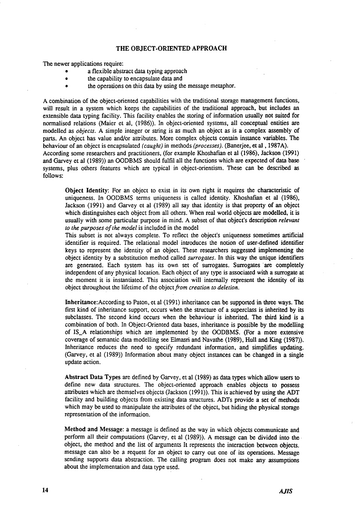The newer applications require:

- a flexible abstract data typing approach
- the capability to encapsulate data and
- the operations on this data by using the message metaphor.

A combination of the object-oriented capabilities with the traditional storage management functions, will result in a system which keeps the capabilities of the traditional approach, but includes an extensible data typing facility. This facility enables the storing of information usually not suited for normalised relations (Maier et al, (1986)). In object-oriented systems, all conceptual entities are modelled as *objects.* A simple integer or string is as much an object as is a complex assembly of parts. An object has value and/or attributes. More complex objects contain instance variables. The behaviour of an object is encapsulated *(caught)* in methods *(processes).* (Banerjee, et al, 1987A). According some researchers and practitioners, (for example Khoshafian et al (1986), Jackson (1991) and Garvey et al (1989)) an OODBMS should fulfil all the functions which are expected of data base systems, plus others features which are typical in object-orientism. These can be described as follows:

Object Identity: For an object to exist in its own right it requires the characteristic of uniqueness. In OODBMS terms uniqueness is called identity. Khoshafian et al (1986), Jackson (1991) and Garvey et al (1989) all say that identity is that property of an object which distinguishes each object from all others. When real world objects are modelled, it is usually with some particular purpose in mind. A subset of that object's description *relevant to the purposes of the model* is included in the model

This subset is not always complete. To reflect the object's uniqueness sometimes artificial identifier is required. The relational model introduces the notion of user-defined identifier keys to represent the identity of an object. These researchers suggested implementing the object identity by a substitution method called *surrogates.* In this way the unique identifiers are generated. Each system has its own set of surrogates. Surrogates are completely independent of any physical location. Each object of any type is associated with a surrogate at the moment it is instantiated. This association will internally represent the identity of its object throughout the lifetime of the *objecifrom creation to deletion.*

Inheritance:According to Paton, et al (1991) inheritance can be supported in three ways. The first kind of inheritance support, occurs when the structure of a superclass is inherited by its subclasses. The second kind occurs when the behaviour is inherited. The third kind is a combination of both. In Object-Oriented data bases, inheritance is possible by the modelling of IS\_A relationships which are implemented by the OODBMS. (For a more extensive coverage of semantic data modelling see Elmasri and Navathe (1989), Hull and King (1987)). Inheritance reduces the need to specify redundant information, and simplifies updating. (Garvey, et al (1989)) Information about many object instances can be changed in a single update action.

Abstract Data Types are defined by Garvey, et al (1989) as data types which allow users to define new data structures. The object-oriented approach enables objects to possess attributes which are themselves objects (Jackson (1991)). This is achieved by using the ADT facility and building objects from existing data structures. ADTs provide a set of methods which may be used to manipulate the attributes of the object, but hiding the physical storage representation of the information.

Method and Message: a message is defined as the way in which objects communicate and perform all their computations (Garvey, et al (1989)). A message can be divided into the object, the method and the list of arguments It represents the interaction between objects, message can also be a request for an object to carry out one of its operations. Message sending supports data abstraction. The calling program does not make any assumptions about the implementation and data type used.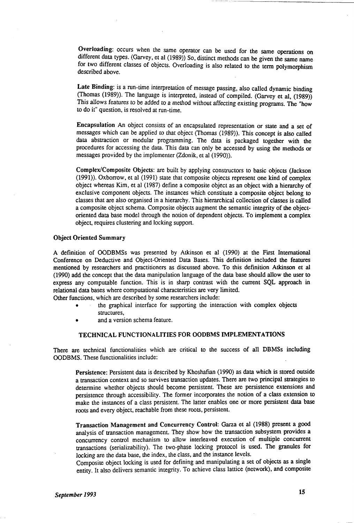Overloading: occurs when the same operator can be used for the same operations on different data types. (Garvey, et al (1989)) So, distinct methods can be given the same name for two different classes of objects. Overloading is also related to the term polymorphism described above.

Late Binding: is a run-time interpretation of message passing, also called dynamic binding (Thomas (1989)). The language is interpreted, instead of compiled. (Garvey et al, (1989)) This allows features to be added to a method without affecting existing programs. The "how to do it" question, is resolved at run-time.

Encapsulation An object consists of an encapsulated representation or state and a set of messages which can be applied to that object (Thomas (1989)). This concept is also called data abstraction or modular programming. The data is packaged together with the procedures for accessing the data. This data can only be accessed by using the methods or messages provided by the implementer (Zdonik, et al (1990)).

Complex/Composite Objects: are built by applying constructors to basic objects (Jackson (1991)). Oxborrow, et al (1991) state that composite objects represent one kind of complex object whereas Kim, et al (1987) define a composite object as an object with a hierarchy of exclusive component objects. The instances which constitute a composite object belong to classes that are also organised in a hierarchy. This hierarchical collection of classes is called a composite object schema. Composite objects augment the semantic integrity of the objectoriented data base model through the notion of dependent objects. To implement a complex object, requires clustering and locking support.

#### Object Oriented Summary

A definition of OODBMSs was presented by Atkinson et al (1990) at the First International Conference on Deductive and Object-Oriented Data Bases. This definition included the features mentioned by researchers and practitioners as discussed above. To this definition Atkinson et al (1990) add the concept that the data manipulation language of the data base should allow the user to express any computable function. This is in sharp contrast with the current SQL approach in relational data bases where computational characteristics are very limited.

Other functions, which are described by some researchers include:

- the graphical interface for supporting the interaction with complex objects structures,
- and a version schema feature.

## TECHNICAL FUNCTIONALITIES FOR OODBMS IMPLEMENTATIONS

There are technical functionalities which are critical to the success of all DBMSs including OODBMS. These functionalities include:

Persistence: Persistent data is described by Khoshafian (1990) as data which is stored outside a transaction context and so survives transaction updates. There are two principal strategies to determine whether objects should become persistent. These are persistence extensions and persistence through accessibility. The former incorporates the notion of a class extension to make the instances of a class persistent. The latter enables one or more persistent data base roots and every object, reachable from these roots, persistent.

Transaction Management and Concurrency Control: Garza et al (1988) present a good analysis of transaction management. They show how the transaction subsystem provides a concurrency control mechanism to allow interleaved execution of multiple concurrent transactions (serializability). The two-phase locking protocol is used. The granules for locking are the data base, the index, the class, and the instance levels.

Composite object locking is used for defining and manipulating a set of objects as a single entity. It also delivers semantic integrity. To achieve class lattice (network), and composite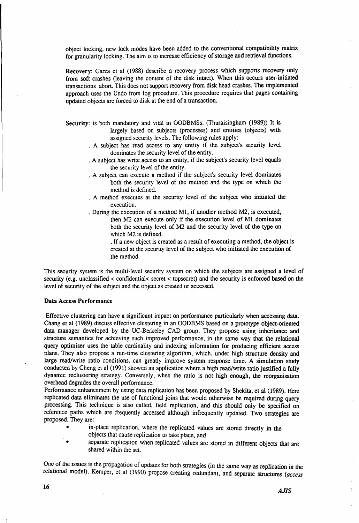object locking, new lock modes have been added to the conventional compatibility matrix for granularity locking. The aim is to increase efficiency of storage and retrieval functions.

**Recovery:** Garza et al (1988) describe a recovery process which supports recovery only from soft crashes (leaving the content of the disk intact). When this occurs user-initiated transactions abort. This does not support recovery from disk head crashes. The implemented approach uses the Undo from log procedure. This procedure requires that pages containing updated objects are forced to disk at the end of a transaction.

**Security:** is both mandatory and vital in OODBMSs. (Thuraisingham (1989)) It is largely based on subjects (processes) and entities (objects) with assigned security levels. The following rules apply:

- . A subject has read access to any entity if the subject's security level dominates the security level of the entity.
- . A subject has write access to an entity, if the subject's security level equals the security level of the entity.
- . A subject can execute a method if the subject's security level dominates both the security level of the method and the type on which the method is defined.
- . A method executes at the security level of the subject who initiated the execution.
- . During the execution of a method Ml, if another method M2, is executed, then M2 can execute only if the execution level of Ml dominates both the security level of M2 and the security level of the type on which M2 is defined.

. If a new object is created as a result of executing a method, the object is created at the security level of the subject who initiated the execution of the method.

This security system is the multi-level security system on which the subjects are assigned a level of security (e.g. unclassified < confidential< secret < topsecret) and the security is enforced based on the level of security of the subject and the object as created or accessed.

## **Data Access Performance**

Effective clustering can have a significant impact on performance particularly when accessing data. Chang et al (1989) discuss effective clustering in an OODBMS based on a prototype object-oriented data manager developed by the UC-Berkeley CAD group. They propose using inheritance and structure semantics for achieving such improved performance, in the same way that the relational query optimiser uses the table cardinality and indexing information for producing efficient access plans. They also propose a run-time clustering algorithm, which, under high structure density and large read/write ratio conditions, can greatly improve system response time. A simulation study conducted by Cheng et al (1991) showed an application where a high read/write ratio justified a fully dynamic reclustering strategy. Conversely, when the ratio is not high enough, the reorganisation overhead degrades the overall performance.

Performance enhancement by using data replication has been proposed by Shekita, et al (1989). Here replicated data eliminates the use of functional joins that would otherwise be required during query processing. This technique is also called, field replication, and this should only be specified on reference paths which are frequently accessed although infrequently updated. Two strategies are proposed. They are:

- in-place replication, where the replicated values are stored directly in the objects that cause replication to take place, and
- separate replication when replicated values are stored in different objects that are shared within the set.

One of the issues is the propagation of updates for both strategies (in the same way as replication in the relational model). Kemper, et al (1990) propose creating redundant, and separate structures *(access*

ŧ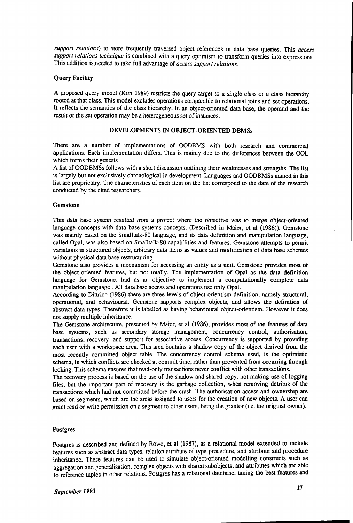*support relations)* to store frequently traversed object references in data base queries. This *access support relations technique* is combined with a query optimiser to transform queries into expressions. This addition is needed to take full advantage of *access support relations.*

## **Query** Facility

A proposed query model (Kim 1989) restricts the query target to a single class or a class hierarchy rooted at that class. This model excludes operations comparable to relational joins and set operations. It reflects the semantics of the class hierarchy. In an object-oriented data base, the operand and the result of the set operation may be a heterogeneous set of instances.

## DEVELOPMENTS IN OBJECT-ORIENTED DBMSs

There are a number of implementations of OODBMS with both research and commercial applications. Each implementation differs. This is mainly due to the differences between the OOL which forms their genesis.

A list of OODBMSs follows with a short discussion outlining their weaknesses and strengths. The list is largely but not exclusively chronological in development. Languages and OODBMSs named in this list are proprietary. The characteristics of each item on the list correspond to the date of the research conducted by the cited researchers.

## Gemstone

This data base system resulted from a project where the objective was to merge object-oriented language concepts with data base systems concepts. (Described in Maier, et al (1986)). Gemstone was mainly based on the Smalltalk-80 language, and its data definition and manipulation language, called Opal, was also based on Smalltalk-80 capabilities and features. Gemstone attempts to permit variations in structured objects, arbitrary data items as values and modification of data base schemes without physical data base restructuring.

Gemstone also provides a mechanism for accessing an entity as a unit. Gemstone provides most of the object-oriented features, but not totally. The implementation of Opal as the data definition language for Gemstone, had as an objective to implement a computationally complete data manipulation language. All data base access and operations use only Opal.

According to Dittrich (1986) there are three levels of object-orientism definition, namely structural, operational, and behavioural. Gemstone supports complex objects, and allows the definition of abstract data types. Therefore it is labelled as having behavioural object-orientism. However it does not supply multiple inheritance.

The Gemstone architecture, presented by Maier, et al (1986), provides most of the features of data base systems, such as secondary storage management, concurrency control, authorisation, transactions, recovery, and support for associative access. Concurrency is supported by providing each user with a workspace area. This area contains a shadow copy of the object derived from the most recently committed object table. The concurrency control schema used, is the optimistic schema, in which conflicts are checked at commit time, rather than prevented from occurring through locking. This schema ensures that read-only transactions never conflict with other transactions.

The recovery process is based on the use of the shadow and shared copy, not making use of logging files, but the important part of recovery is the garbage collection, when removing detritus of the transactions which had not committed before the crash. The authorisation access and ownership are based on segments, which are the areas assigned to users for the creation of new objects. A user can grant read or write permission on a segment to other users, being the grantor (i.e. the original owner).

## Postgres

Postgres is described and defined by Rowe, et al (1987), as a relational model extended to include features such as abstract data types, relation attribute of type procedure, and attribute and procedure inheritance. These features can be used to simulate object-oriented modelling constructs such as aggregation and generalisation, complex objects with shared subobjects, and attributes which are able to reference tuples in other relations. Postgres has a relational database, taking the best features and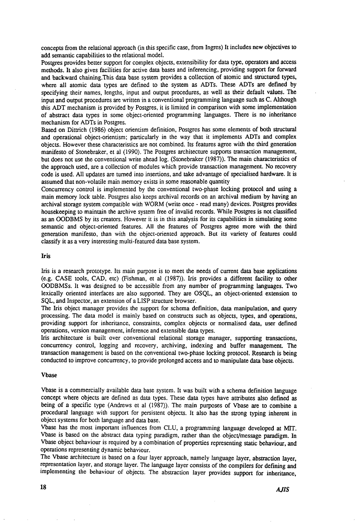concepts from the relational approach (in this specific case, from Ingres) It includes new objectives to add semantic capabilities to the relational model.

Postgres provides better support for complex objects, extensibility for data type, operators and access methods. It also gives facilities for active data bases and inferencing, providing support for forward and backward chaining.This data base system provides a collection of atomic and structured types, where all atomic data types are defined to the system as ADTs. These ADTs are defined by specifying their names, lengths, input and output procedures, as well as their default values. The input and output procedures are written in a conventional programming language such as C. Although this ADT mechanism is provided by Postgres, it is limited in comparison with some implementation of abstract data types in some object-oriented programming languages. There is no inheritance mechanism for ADTs in Postgres.

Based on Dittrich (1986) object orientism definition, Postgres has some elements of both structural and operational object-orientism; particularly in the way that it implements ADTs and complex objects. However these characteristics are not combined. Its features agree with the third generation manifesto of Stonebraker, et al (1990). The Postgres architecture supports transaction management, but does not use the conventional write ahead log. (Stonebraker (1987)). The main characteristics of the approach used, are a collection of modules which provide transaction management. No recovery code is used. All updates are turned into insertions, and take advantage of specialised hardware. It is assumed that non-volatile main memory exists in some reasonable quantity

Concurrency control is implemented by the conventional two-phase locking protocol and using a main memory lock table. Postgres also keeps archival records on an archival medium by having an archival storage system compatible with WORM (write once - read many) devices. Postgres provides housekeeping to maintain the archive system free of invalid records. While Postgres is not classified as an OODBMS by its creators. However it is in this analysis for its capabilities in simulating some semantic and object-oriented features. All the features of Postgres agree more with the third generation manifesto, than with the object-oriented approach. But its variety of features could classify it as a very interesting multi-featured data base system.

#### Iris

Iris is a research prototype. Its main purpose is to meet the needs of current data base applications (e.g. CASE tools, CAD, etc) (Fishman, et al (1987)). Iris provides a different facility to other OODBMSs. It was designed to be accessible from any number of programming languages. Two lexically oriented interfaces are also supported. They are OSQL, an object-oriented extension to SQL, and Inspector, an extension of a LISP structure browser.

The Iris object manager provides the support for schema definition, data manipulation, and query processing. The data model is mainly based on constructs such as objects, types, and operations, providing support for inheritance, constraints, complex objects or normalised data, user defined operations, version management, inference and extensible data types.

Iris architecture is built over conventional relational storage manager, supporting transactions, concurrency control, logging and recovery, archiving, indexing and buffer management. The transaction management is based on the conventional two-phase locking protocol. Research is being conducted to improve concurrency, to provide prolonged access and to manipulate data base objects.

#### Vbase

Vbase is a commercially available data base system. It was built with a schema definition language concept where objects are defined as data types. These data types have attributes also defined as being of a specific type (Andrews et al (1987)). The main purposes of Vbase are to combine a procedural language with support for persistent objects. It also has the strong typing inherent in object systems for both language and data base.

Vbase has the most important influences from CLU, a programming language developed at MTT. Vbase is based on the abstract data typing paradigm, rather than the object/message paradigm. In Vbase object behaviour is required by a combination of properties representing static behaviour, and operations representing dynamic behaviour.

The Vbase architecture is based on a four layer approach, namely language layer, abstraction layer, representation layer, and storage layer. The language layer consists of the compilers for defining and implementing the behaviour of objects. The abstraction layer provides support for inheritance,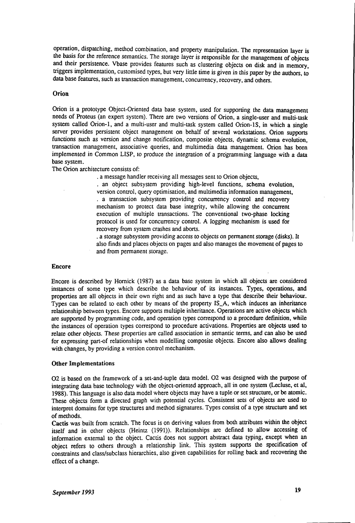operation, dispatching, method combination, and property manipulation. The representation layer is the basis for the reference semantics. The storage layer is responsible for the management of objects and their persistence. Vbase provides features such as clustering objects on disk and in memory, triggers implementation, customised types, but very little time is given in this paper by the authors, to data base features, such as transaction management, concurrency, recovery, and others.

#### **Orion**

Orion is a prototype Object-Oriented data base system, used for supporting the data management needs of Proteus (an expert system). There are two versions of Orion, a single-user and multi-task system called Orion-1, and a multi-user and multi-task system called Orion-lS, in which a single server provides persistent object management on behalf of several workstations. Orion supports functions such as version and change notification, composite objects, dynamic schema evolution, transaction management, associative queries, and multimedia data management. Orion has been implemented in Common LISP, to produce the integration of a programming language with a data base system.

The Orion architecture consists of:

. a message handler receiving all messages sent to Orion objects,

. an object subsystem providing high-level functions, schema evolution, version control, query optimisation, and multimedia information management, . a transaction subsystem providing concurrency control and recovery mechanism to protect data base integrity, while allowing the concurrent execution of multiple transactions. The conventional two-phase locking protocol is used for concurrency control. A logging mechanism is used for recovery from system crashes and aborts.

. a storage subsystem providing access to objects on permanent storage (disks). It also finds and places objects on pages and also manages the movement of pages to and from permanent storage.

## Encore

Encore is described by Hornick (1987) as a data base system in which all objects are considered instances of some type which describe the behaviour of its instances. Types, operations, and properties are all objects in their own right and as such have a type that describe their behaviour. Types can be related to each other by means of the property IS\_A, which induces an inheritance relationship between types. Encore supports multiple inheritance. Operations are active objects which are supported by programming code, and operation types correspond to a procedure definition, while the instances of operation types correspond to procedure activations. Properties are objects used to relate other objects. These properties are called association in semantic terms, and can also be used for expressing part-of relationships when modelling composite objects. Encore also allows dealing with changes, by providing a version control mechanism.

#### Other Implementations

O2 is based on the framework of a set-and-tuple data model. O2 was designed with the purpose of integrating data base technology with the object-oriented approach, all in one system (Lecluse, et al, 1988). This language is also data model where objects may have a tuple or set structure, or be atomic. These objects form a directed graph with potential cycles. Consistent sets of objects are used to interpret domains for type structures and method signatures. Types consist of a type structure and set of methods.

Cactis was built from scratch. The focus is on deriving values from both attributes within the object itself and in other objects (Heintz (1991)). Relationships are defined to allow accessing of information external to the object. Cactis does not support abstract data typing, except when an object refers to others through a relationship link. This system supports the specification of constraints and class/subclass hierarchies, also given capabilities for rolling back and recovering the effect of a change.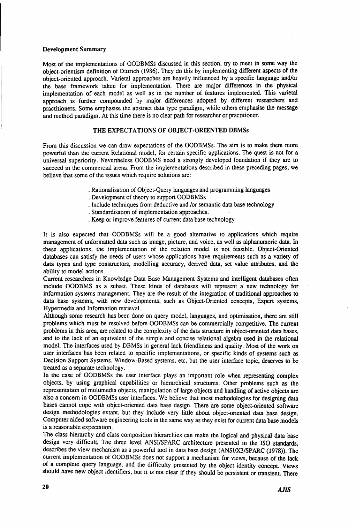#### Development Summary

Most of the implementations of OODBMSs discussed in this section, try to meet in some way the object-orientism definition of Dittrich (1986). They do this by implementing different aspects of the object-oriented approach. Varietal approaches are heavily influenced by a specific language and/or the base framework taken for implementation. There are major differences in the physical implementation of each model as well as in the number of features implemented. This varietal approach is further compounded by major differences adopted by different researchers and practitioners. Some emphasise the abstract data type paradigm, while others emphasise the message and method paradigm. At this time there is no clear path for researcher or practitioner.

#### THE EXPECTATIONS OF OBJECT-ORIENTED DBMSs

From this discussion we can draw expectations of the OODBMSs. The aim is to make them more powerful than the current Relational model, for certain specific applications. The quest is not for a universal superiority. Nevertheless OODBMS need a strongly developed foundation if they are to succeed in the commercial arena. From the implementations described in these preceding pages, we believe that some of the issues which require solutions are:

- . Rationalisation of Object-Query languages and programming languages
- . Development of theory to support OODBMSs
- . Include techniques from deductive and /or semantic data base technology
- . Standardisation of implementation approaches.
- . Keep or improve features of current data base technology

It is also expected that OODBMSs will be a good alternative to applications which require management of unformatted data such as image, picture, and voice, as well as alphanumeric data. In these applications, the implementation of the relation model is not feasible. Object-Oriented databases can satisfy the needs of users whose applications have requirements such as a variety of data types and type constructors, modelling accuracy, derived data, set value attributes, and the ability to model actions.

Current researchers in Knowledge Data Base Management Systems and intelligent databases often include OODBMS as a subset. These kinds of databases will represent a new technology for information systems management. They are the result of the integration of traditional approaches to data base systems, with new developments, such as Object-Oriented concepts, Expert systems, Hypermedia and Information retrieval.

Although some research has been done on query model, languages, and optimisation, there are still problems which must be resolved before OODBMSs can be commercially competitive. The current problems in this area, are related to the complexity of the data structure in object-oriented data bases, and to the lack of an equivalent of the simple and concise relational algebra used in the relational model. The interfaces used by DBMSs in general lack friendliness and quality. Most of the work on user interfaces has been related to specific implementations, or specific kinds of systems such as Decision Support Systems, Window-Based systems, etc, but the user interface topic, deserves to be treated as a separate technology.

In the case of OODBMSs the user interface plays an important role when representing complex objects, by using graphical capabilities or hierarchical structures. Other problems such as the representation of multimedia objects, manipulation of large objects and handling of active objects are also a concern in OODBMSs user interfaces. We believe that most methodologies for designing data bases cannot cope with object-oriented data base design. There are some object-oriented software design methodologies extant, but they include very little about object-oriented data base design. Computer aided software engineering tools in the same way as they exist for current data base models is a reasonable expectation.

The class hierarchy and class composition hierarchies can make the logical and physical data base design very difficult. The three level ANSI/SPARC architecture presented in the ISO standards, describes the view mechanism as a powerful tool in data base design (ANSI/X3/SPARC (1978)). The current implementation of OODBMSs does not support a mechanism for views, because of the lack of a complete query language, and the difficulty presented by the object identity concept. Views should have new object identifiers, but it is not clear if they should be persistent or transient. There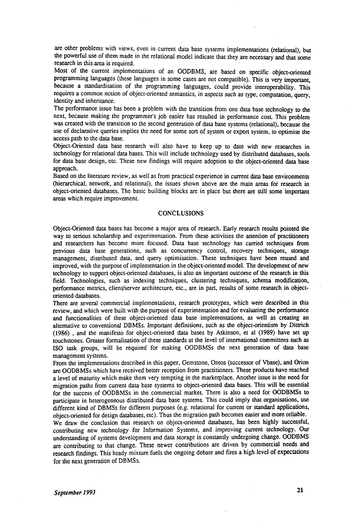are other problems with views, even in current data base systems implementations (relational), but the powerful use of them made in the relational model indicate that they are necessary and that some research in this area is required.

Most of the current implementations of an OODBMS, are based on specific object-oriented programming languages (these languages in some cases are not compatible). This is very important, because a standardisation of the programming languages, could provide interoperability. This requires a common notion of object-oriented semantics, in aspects such as type, computation, query, identity and inheritance.

The performance issue has been a problem with the transition from one data base technology to the next, because making the programmer's job easier has resulted in performance cost This problem was created with the transition to the second generation of data base systems (relational), because the use of declarative queries implies the need for some sort of system or expert system, to optimise the access path to the data base.

Object-Oriented data base research will also have to keep up to date with new researches in technology for relational data bases. This will include technology used by distributed databases, tools for data base design, etc. These new findings will require adoption to the object-oriented data base approach.

Based on the literature review, as well as from practical experience in current data base environments (hierarchical, network, and relational), the issues shown above are the main areas for research in object-oriented databases. The basic building blocks are in place but there are still some important areas which require improvement.

## **CONCLUSIONS**

Object-Oriented data bases has become a major area of research. Early research results pointed the way to serious scholarship and experimentation. From these activities the attention of practitioners and researchers has become more focused. Data base technology has carried techniques from previous data base generations, such as concurrency control, recovery techniques, storage management, distributed data, and query optimisation. These techniques have been reused and improved, with the purpose of implementation in the object-oriented model. The development of new technology to support object-oriented databases, is also an important outcome of the research in this field. Technologies, such as indexing techniques, clustering techniques, schema modification, performance metrics, client/server architecture, etc., are in part, results of some research in objectoriented databases.

There are several commercial implementations, research prototypes, which were described in this review, and which were built with the purpose of experimentation and for evaluating the performance and functionalities of these object-oriented data base implementations, as well as creating an alternative to conventional DBMSs. Important definitions, such as the object-orientism by Dittrich (1986) , and the manifesto for object-oriented data bases by Atkinson, et al (1989) have set up touchstones. Greater formalisation of these standards at the level of international committees such as ISO task groups, will be required for making OODBMSs the next generation of data base management systems.

From the implementations described in this paper, Gemstone, Ontos (successor of Vbase), and Orion are OODBMSs which have received better reception from practitioners. These products have reached a level of maturity which make them very tempting in the marketplace. Another issue is the need for migration paths from current data base systems to object-oriented data bases. This will be essential for the success of OODBMSs in the commercial market. There is also a need for OODBMSs to participate in heterogeneous distributed data base systems. This could imply that organisations, use different kind of DBMSs for different purposes (e.g. relational for current or standard applications, object-oriented for design databases, etc). Thus the migration path becomes easier and more reliable.

We draw the conclusion that research on object-oriented databases, has been highly successful, contributing new technology for Information Systems, and improving current technology. Our understanding of systems development and data storage is constantly undergoing change. OODBMS are contributing to that change. These newer contributions are driven by commercial needs and research findings. This heady mixture fuels the ongoing debate and fires a high level of expectations for the next generation of DBMS s.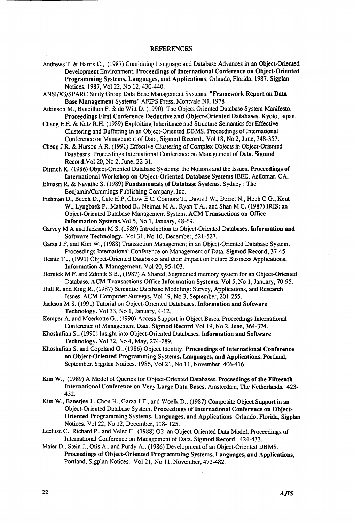#### **REFERENCES**

- Andrews T. & Harris C., (1987) Combining Language and Database Advances in an Object-Oriented Development Environment. Proceedings of International Conference on Object-Oriented Programming Systems, Languages, and Applications, Orlando, Florida, 1987. Sigplan Notices. 1987, Vol 22, No 12,430-440.
- ANSI/X3/SPARC Study Group Data Base Management Systems, "Framework Report on Data Base Management Systems" AFIPS Press, Montvale NJ, 1978
- Atkinson M., Bancilhon F. & de Witt D. (1990) The Object Oriented Database System Manifesto. Proceedings First Conference Deductive and Object-Oriented Databases. Kyoto, Japan.
- Chang E.E. & Katz R.H. (1989) Exploiting Inheritance and Structure Semantics for Effective Clustering and Buffering in an Object-Oriented DBMS. Proceedings of International Conference on Management of Data, Sigmod Record., Vol 18, No 2, June, 348-357.
- Cheng J R. & Hurson A R. (1991) Effective Clustering of Complex Objects in Object-Oriented Databases. Proceedings International Conference on Management of Data. Sigmod Record.Vol 20, No 2, June, 22-31.
- Dittrich K. (1986) Object-Oriented Database Systems: the Notions and the Issues. Proceedings of International Workshop on Object-Oriented Database Systems IEEE, Asilomar, CA,
- Elmasri R. & Navathe S. (1989) Fundamentals of Database Systems. Sydney : The Benjamin/Cummings Publishing Company, Inc.
- Fishman D., Beech D., Gate H P, Chow E C, Connors T., Davis J W., Derret N., Hoch C G., Kent W., Lyngbaek P., Mahbod B., Neimat M A., Ryan T A., and Shan M C. (1987) IRIS: an Object-Oriented Database Management System. ACM Transactions on Office Information Systems.Vol 5, No 1, January, 48-69.
- Garvey M A and Jackson M S, (1989) Introduction to Object-Oriented Databases. Information and Software Technology. Vol 31, No 10, December, 521-527.
- Garza J F. and Kim W., (1988) Transaction Management in an Object-Oriented Database System. Proceedings International Conference on Management of Data. Sigmod Record, 37-45.
- Heintz T J, (1991) Object-Oriented Databases and their Impact on Future Business Applications. Information & Management. Vol 20,95-103.
- Hornick M F. and Zdonik S B., (1987) A Shared, Segmented memory system for an Object-Oriented Database. ACM Transactions Office Information Systems. Vol 5, No 1, January, 70-95.
- Hull R. and King R., (1987) Semantic Database Modeling: Survey, Applications, and Research Issues. ACM Computer Surveys, Vol 19, No 3, September, 201-255.
- Jackson M S. (1991) Tutorial on Object-Oriented Databases. Information and Software Technology. Vol 33, No 1, January, 4-12.
- Kemper A. and Moerkotte G., (1990) Access Support in Object Bases. Proceedings International Conference of Management Data. Sigmod Record Vol 19, No 2, June, 364-374.
- Khoshafian S., (1990) Insight into Object-Oriented Databases. Information and Software Technology. Vol 32, No 4, May, 274-289.
- Khoshafian S. and Copeland G., (1986) Object Identity. Proceedings of International Conference on Object-Oriented Programming Systems, Languages, and Applications. Portland, September. Sigplan Notices. 1986, Vol 21, No 11, November, 406-416.
- Kim W., (1989) A Model of Queries for Object-Oriented Databases. Proceedings of the Fifteenth International Conference on Very Large Data Bases, Amsterdam, The Netherlands, 423- 432.
- Kim W., Banerjee J., Chou H., Garza J F., and Woelk D., (1987) Composite Object Support in an Object-Oriented Database System. Proceedings of International Conference on Object-Oriented Programming Systems, Languages, and Applications. Orlando, Florida, Sigplan Notices. Vol 22, No 12, December, 118- 125.
- Lecluse C., Richard P., and Velez F., (1988) 02, an Object-Oriented Data Model. Proceedings of International Conference on Management of Data. Sigmod Record. 424-433.
- Maier D., Stein J., Otis A., and Purdy A., (1986) Development of an Object-Oriented DBMS. Proceedings of Object-Oriented Programming Systems, Languages, and Applications, Portland, Sigplan Notices. Vol 21, No 11, November, 472-482.